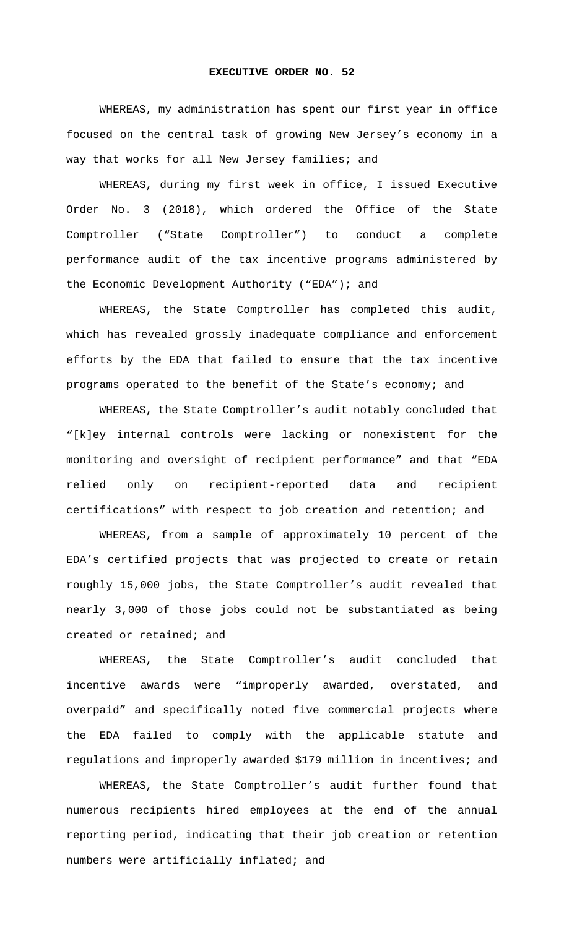## **EXECUTIVE ORDER NO. 52**

WHEREAS, my administration has spent our first year in office focused on the central task of growing New Jersey's economy in a way that works for all New Jersey families; and

WHEREAS, during my first week in office, I issued Executive Order No. 3 (2018), which ordered the Office of the State Comptroller ("State Comptroller") to conduct a complete performance audit of the tax incentive programs administered by the Economic Development Authority ("EDA"); and

WHEREAS, the State Comptroller has completed this audit, which has revealed grossly inadequate compliance and enforcement efforts by the EDA that failed to ensure that the tax incentive programs operated to the benefit of the State's economy; and

WHEREAS, the State Comptroller's audit notably concluded that "[k]ey internal controls were lacking or nonexistent for the monitoring and oversight of recipient performance" and that "EDA relied only on recipient-reported data and recipient certifications" with respect to job creation and retention; and

WHEREAS, from a sample of approximately 10 percent of the EDA's certified projects that was projected to create or retain roughly 15,000 jobs, the State Comptroller's audit revealed that nearly 3,000 of those jobs could not be substantiated as being created or retained; and

WHEREAS, the State Comptroller's audit concluded that incentive awards were "improperly awarded, overstated, and overpaid" and specifically noted five commercial projects where the EDA failed to comply with the applicable statute and regulations and improperly awarded \$179 million in incentives; and

WHEREAS, the State Comptroller's audit further found that numerous recipients hired employees at the end of the annual reporting period, indicating that their job creation or retention numbers were artificially inflated; and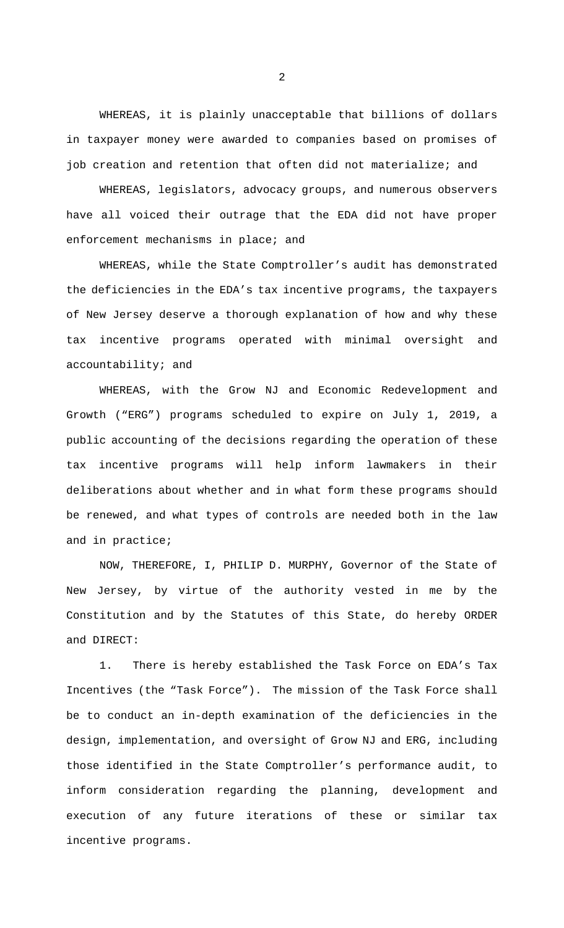WHEREAS, it is plainly unacceptable that billions of dollars in taxpayer money were awarded to companies based on promises of job creation and retention that often did not materialize; and

WHEREAS, legislators, advocacy groups, and numerous observers have all voiced their outrage that the EDA did not have proper enforcement mechanisms in place; and

WHEREAS, while the State Comptroller's audit has demonstrated the deficiencies in the EDA's tax incentive programs, the taxpayers of New Jersey deserve a thorough explanation of how and why these tax incentive programs operated with minimal oversight and accountability; and

WHEREAS, with the Grow NJ and Economic Redevelopment and Growth ("ERG") programs scheduled to expire on July 1, 2019, a public accounting of the decisions regarding the operation of these tax incentive programs will help inform lawmakers in their deliberations about whether and in what form these programs should be renewed, and what types of controls are needed both in the law and in practice;

NOW, THEREFORE, I, PHILIP D. MURPHY, Governor of the State of New Jersey, by virtue of the authority vested in me by the Constitution and by the Statutes of this State, do hereby ORDER and DIRECT:

1. There is hereby established the Task Force on EDA's Tax Incentives (the "Task Force"). The mission of the Task Force shall be to conduct an in-depth examination of the deficiencies in the design, implementation, and oversight of Grow NJ and ERG, including those identified in the State Comptroller's performance audit, to inform consideration regarding the planning, development and execution of any future iterations of these or similar tax incentive programs.

2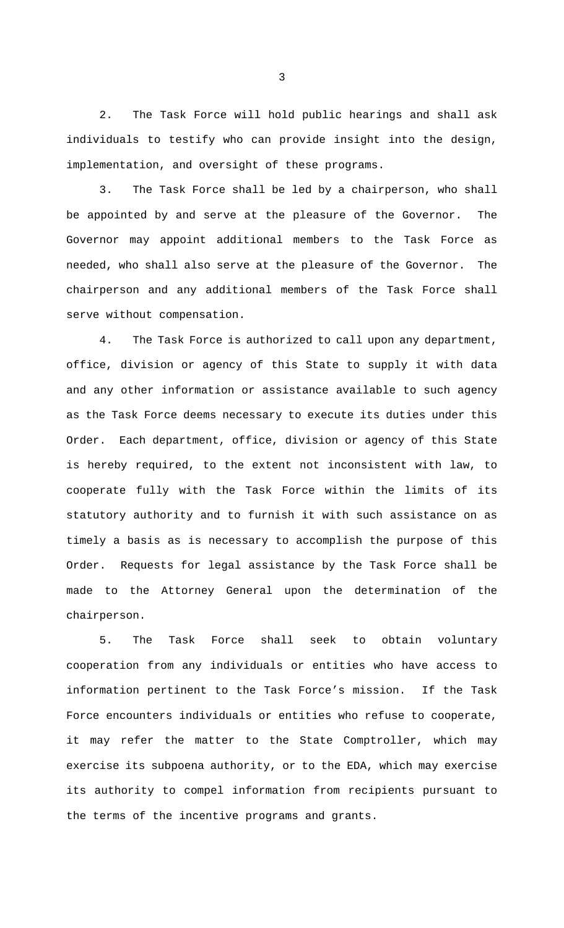2. The Task Force will hold public hearings and shall ask individuals to testify who can provide insight into the design, implementation, and oversight of these programs.

3. The Task Force shall be led by a chairperson, who shall be appointed by and serve at the pleasure of the Governor. The Governor may appoint additional members to the Task Force as needed, who shall also serve at the pleasure of the Governor. The chairperson and any additional members of the Task Force shall serve without compensation.

4. The Task Force is authorized to call upon any department, office, division or agency of this State to supply it with data and any other information or assistance available to such agency as the Task Force deems necessary to execute its duties under this Order. Each department, office, division or agency of this State is hereby required, to the extent not inconsistent with law, to cooperate fully with the Task Force within the limits of its statutory authority and to furnish it with such assistance on as timely a basis as is necessary to accomplish the purpose of this Order. Requests for legal assistance by the Task Force shall be made to the Attorney General upon the determination of the chairperson.

5. The Task Force shall seek to obtain voluntary cooperation from any individuals or entities who have access to information pertinent to the Task Force's mission. If the Task Force encounters individuals or entities who refuse to cooperate, it may refer the matter to the State Comptroller, which may exercise its subpoena authority, or to the EDA, which may exercise its authority to compel information from recipients pursuant to the terms of the incentive programs and grants.

3